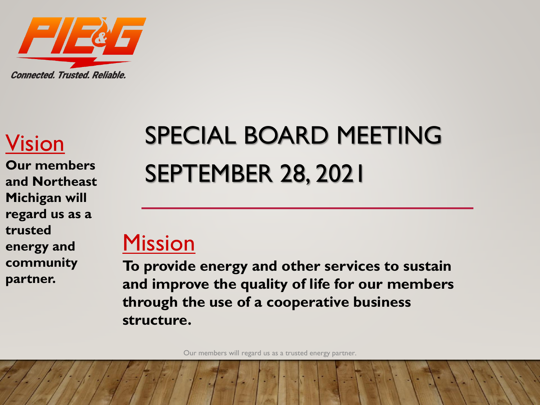

#### Vision

**Our members and Northeast Michigan will regard us as a trusted energy and community partner.**

# SPECIAL BOARD MEETING SEPTEMBER 28, 2021

#### Mission

**To provide energy and other services to sustain and improve the quality of life for our members through the use of a cooperative business structure.**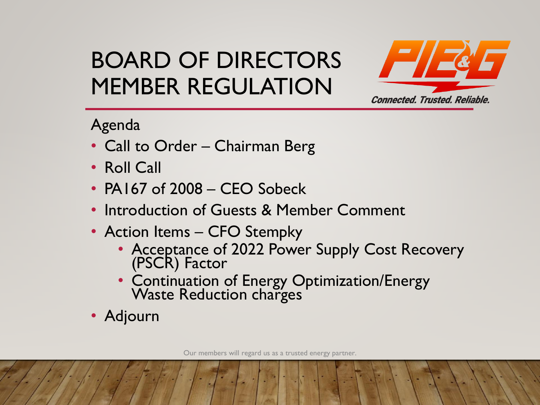

#### Agenda

- Call to Order Chairman Berg
- Roll Call
- PA167 of 2008 CEO Sobeck
- Introduction of Guests & Member Comment
- Action Items CFO Stempky
	- Acceptance of 2022 Power Supply Cost Recovery (PSCR) Factor
	- Continuation of Energy Optimization/Energy Waste Reduction charges
- Adjourn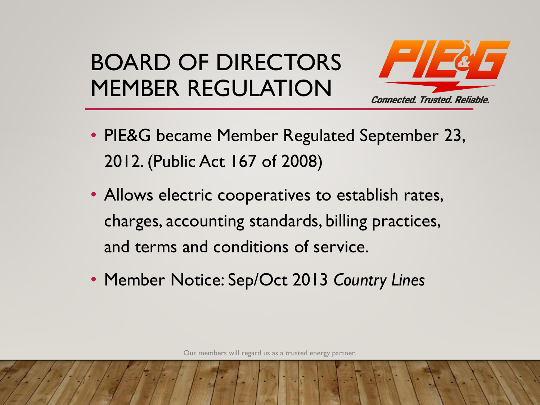

- PIE&G became Member Regulated September 23, 2012. (Public Act 167 of 2008)
- Allows electric cooperatives to establish rates, charges, accounting standards, billing practices, and terms and conditions of service.
- Member Notice: Sep/Oct 2013 *Country Lines*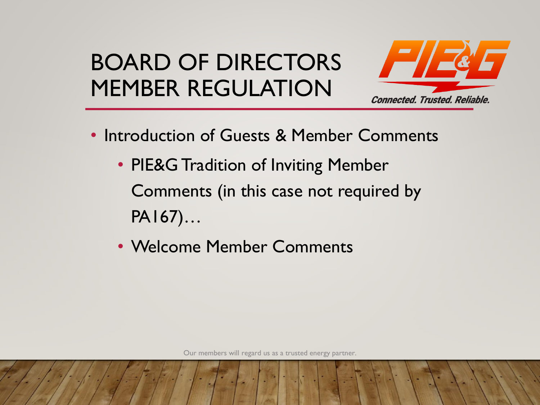

- Introduction of Guests & Member Comments
	- PIE&G Tradition of Inviting Member Comments (in this case not required by PA167)…
	- Welcome Member Comments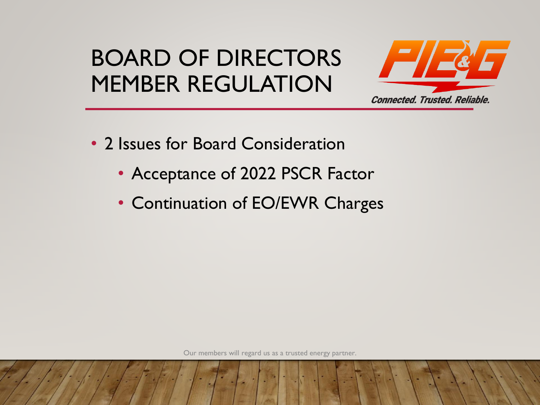

- 2 Issues for Board Consideration
	- Acceptance of 2022 PSCR Factor
	- Continuation of EO/EWR Charges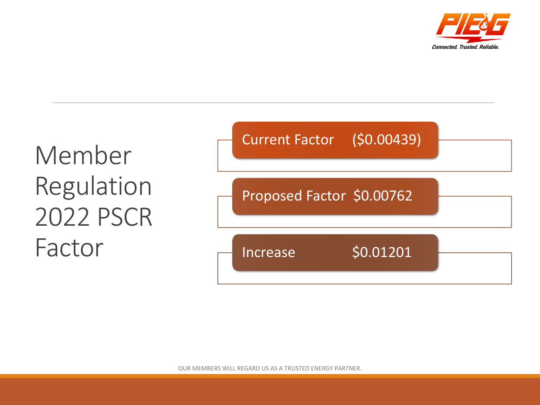

#### Member Regulation 2022 PSCR Factor Current Factor (\$0.00439) Proposed Factor \$0.00762 Increase \$0.01201

OUR MEMBERS WILL REGARD US AS A TRUSTED ENERGY PARTNER. 6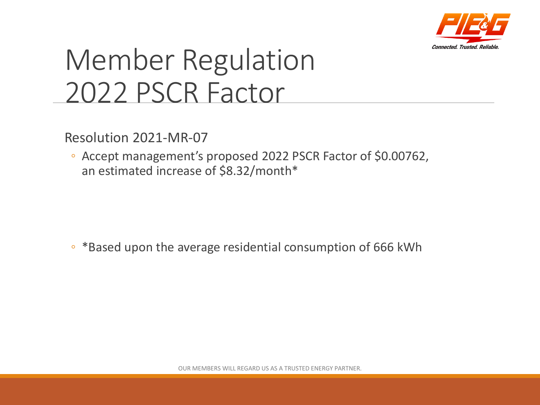

# Member Regulation 2022 PSCR Factor

Resolution 2021-MR-07

◦ Accept management's proposed 2022 PSCR Factor of \$0.00762, an estimated increase of \$8.32/month\*

◦ \*Based upon the average residential consumption of 666 kWh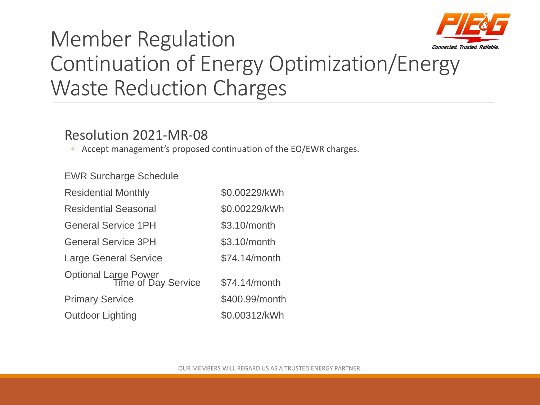

#### Member Regulation Continuation of Energy Optimization/Energy Waste Reduction Charges

#### Resolution 2021-MR-08

◦ Accept management's proposed continuation of the EO/EWR charges.

EWR Surcharge Schedule

| <b>Residential Monthly</b>                  | \$0.00229/kWh  |
|---------------------------------------------|----------------|
| <b>Residential Seasonal</b>                 | \$0.00229/kWh  |
| <b>General Service 1PH</b>                  | \$3.10/month   |
| <b>General Service 3PH</b>                  | \$3.10/month   |
| <b>Large General Service</b>                | \$74.14/month  |
| Optional Large Power<br>Time of Day Service | \$74.14/month  |
| <b>Primary Service</b>                      | \$400.99/month |
| <b>Outdoor Lighting</b>                     | \$0.00312/kWh  |